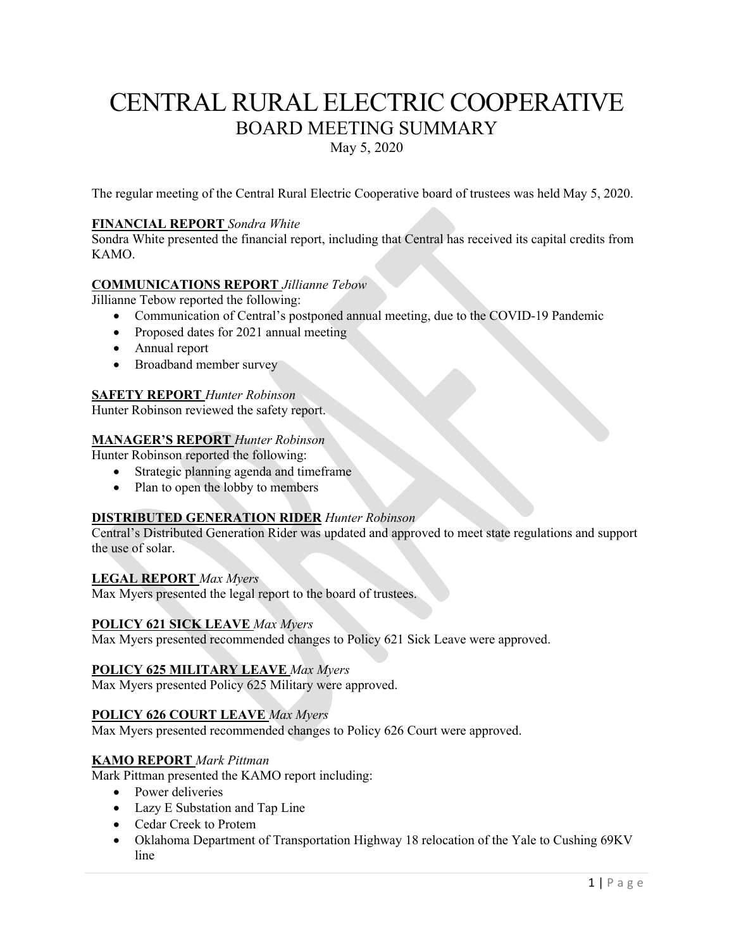# CENTRAL RURAL ELECTRIC COOPERATIVE BOARD MEETING SUMMARY

May 5, 2020

The regular meeting of the Central Rural Electric Cooperative board of trustees was held May 5, 2020.

## **FINANCIAL REPORT** *Sondra White*

Sondra White presented the financial report, including that Central has received its capital credits from KAMO.

## **COMMUNICATIONS REPORT** *Jillianne Tebow*

Jillianne Tebow reported the following:

- Communication of Central's postponed annual meeting, due to the COVID-19 Pandemic
- Proposed dates for 2021 annual meeting
- Annual report
- Broadband member survey

## **SAFETY REPORT** *Hunter Robinson*

Hunter Robinson reviewed the safety report.

## **MANAGER'S REPORT** *Hunter Robinson*

Hunter Robinson reported the following:

- Strategic planning agenda and timeframe
- Plan to open the lobby to members

# **DISTRIBUTED GENERATION RIDER** *Hunter Robinson*

Central's Distributed Generation Rider was updated and approved to meet state regulations and support the use of solar.

#### **LEGAL REPORT** *Max Myers*

Max Myers presented the legal report to the board of trustees.

#### **POLICY 621 SICK LEAVE** *Max Myers*

Max Myers presented recommended changes to Policy 621 Sick Leave were approved.

## **POLICY 625 MILITARY LEAVE** *Max Myers*

Max Myers presented Policy 625 Military were approved.

## **POLICY 626 COURT LEAVE** *Max Myers*

Max Myers presented recommended changes to Policy 626 Court were approved.

#### **KAMO REPORT** *Mark Pittman*

Mark Pittman presented the KAMO report including:

- Power deliveries
- Lazy E Substation and Tap Line
- Cedar Creek to Protem
- Oklahoma Department of Transportation Highway 18 relocation of the Yale to Cushing 69KV line